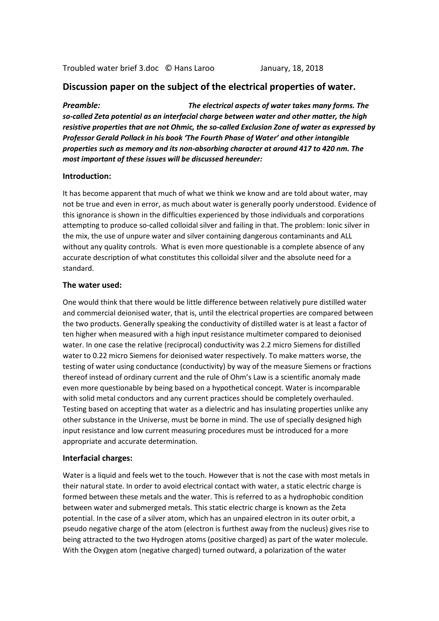# **Discussion paper on the subject of the electrical properties of water.**

*Preamble: The electrical aspects of water takes many forms. The so-called Zeta potential as an interfacial charge between water and other matter, the high resistive properties that are not Ohmic, the so-called Exclusion Zone of water as expressed by Professor Gerald Pollack in his book 'The Fourth Phase of Water' and other intangible properties such as memory and its non-absorbing character at around 417 to 420 nm. The most important of these issues will be discussed hereunder:*

#### **Introduction:**

It has become apparent that much of what we think we know and are told about water, may not be true and even in error, as much about water is generally poorly understood. Evidence of this ignorance is shown in the difficulties experienced by those individuals and corporations attempting to produce so-called colloidal silver and failing in that. The problem: Ionic silver in the mix, the use of unpure water and silver containing dangerous contaminants and ALL without any quality controls. What is even more questionable is a complete absence of any accurate description of what constitutes this colloidal silver and the absolute need for a standard.

#### **The water used:**

One would think that there would be little difference between relatively pure distilled water and commercial deionised water, that is, until the electrical properties are compared between the two products. Generally speaking the conductivity of distilled water is at least a factor of ten higher when measured with a high input resistance multimeter compared to deionised water. In one case the relative (reciprocal) conductivity was 2.2 micro Siemens for distilled water to 0.22 micro Siemens for deionised water respectively. To make matters worse, the testing of water using conductance (conductivity) by way of the measure Siemens or fractions thereof instead of ordinary current and the rule of Ohm's Law is a scientific anomaly made even more questionable by being based on a hypothetical concept. Water is incomparable with solid metal conductors and any current practices should be completely overhauled. Testing based on accepting that water as a dielectric and has insulating properties unlike any other substance in the Universe, must be borne in mind. The use of specially designed high input resistance and low current measuring procedures must be introduced for a more appropriate and accurate determination.

### **Interfacial charges:**

Water is a liquid and feels wet to the touch. However that is not the case with most metals in their natural state. In order to avoid electrical contact with water, a static electric charge is formed between these metals and the water. This is referred to as a hydrophobic condition between water and submerged metals. This static electric charge is known as the Zeta potential. In the case of a silver atom, which has an unpaired electron in its outer orbit, a pseudo negative charge of the atom (electron is furthest away from the nucleus) gives rise to being attracted to the two Hydrogen atoms (positive charged) as part of the water molecule. With the Oxygen atom (negative charged) turned outward, a polarization of the water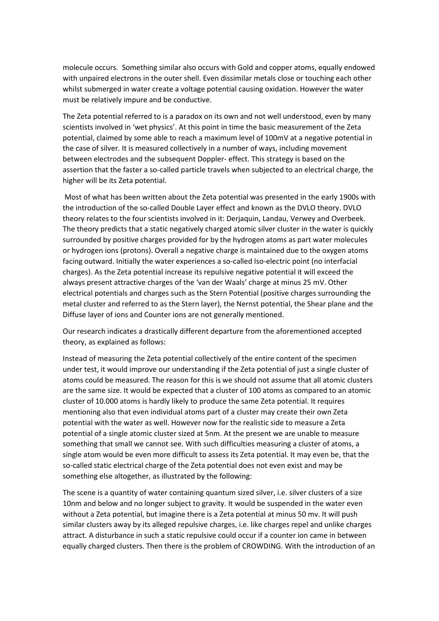molecule occurs. Something similar also occurs with Gold and copper atoms, equally endowed with unpaired electrons in the outer shell. Even dissimilar metals close or touching each other whilst submerged in water create a voltage potential causing oxidation. However the water must be relatively impure and be conductive.

The Zeta potential referred to is a paradox on its own and not well understood, even by many scientists involved in 'wet physics'. At this point in time the basic measurement of the Zeta potential, claimed by some able to reach a maximum level of 100mV at a negative potential in the case of silver. It is measured collectively in a number of ways, including movement between electrodes and the subsequent Doppler- effect. This strategy is based on the assertion that the faster a so-called particle travels when subjected to an electrical charge, the higher will be its Zeta potential.

Most of what has been written about the Zeta potential was presented in the early 1900s with the introduction of the so-called Double Layer effect and known as the DVLO theory. DVLO theory relates to the four scientists involved in it: Derjaquin, Landau, Verwey and Overbeek. The theory predicts that a static negatively charged atomic silver cluster in the water is quickly surrounded by positive charges provided for by the hydrogen atoms as part water molecules or hydrogen ions (protons). Overall a negative charge is maintained due to the oxygen atoms facing outward. Initially the water experiences a so-called Iso-electric point (no interfacial charges). As the Zeta potential increase its repulsive negative potential it will exceed the always present attractive charges of the 'van der Waals' charge at minus 25 mV. Other electrical potentials and charges such as the Stern Potential (positive charges surrounding the metal cluster and referred to as the Stern layer), the Nernst potential, the Shear plane and the Diffuse layer of ions and Counter ions are not generally mentioned.

Our research indicates a drastically different departure from the aforementioned accepted theory, as explained as follows:

Instead of measuring the Zeta potential collectively of the entire content of the specimen under test, it would improve our understanding if the Zeta potential of just a single cluster of atoms could be measured. The reason for this is we should not assume that all atomic clusters are the same size. It would be expected that a cluster of 100 atoms as compared to an atomic cluster of 10.000 atoms is hardly likely to produce the same Zeta potential. It requires mentioning also that even individual atoms part of a cluster may create their own Zeta potential with the water as well. However now for the realistic side to measure a Zeta potential of a single atomic cluster sized at 5nm. At the present we are unable to measure something that small we cannot see. With such difficulties measuring a cluster of atoms, a single atom would be even more difficult to assess its Zeta potential. It may even be, that the so-called static electrical charge of the Zeta potential does not even exist and may be something else altogether, as illustrated by the following:

The scene is a quantity of water containing quantum sized silver, i.e. silver clusters of a size 10nm and below and no longer subject to gravity. It would be suspended in the water even without a Zeta potential, but imagine there is a Zeta potential at minus 50 mv. It will push similar clusters away by its alleged repulsive charges, i.e. like charges repel and unlike charges attract. A disturbance in such a static repulsive could occur if a counter ion came in between equally charged clusters. Then there is the problem of CROWDING. With the introduction of an